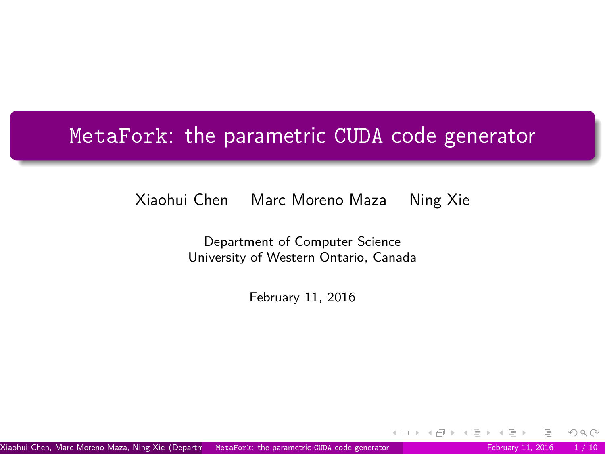# <span id="page-0-0"></span>MetaFork: the parametric CUDA code generator

#### Xiaohui Chen Marc Moreno Maza Ning Xie

Department of Computer Science University of Western Ontario, Canada

February 11, 2016

Xiaohui Chen, Marc Moreno Maza, Ning Xie (Department MetaFork: the parametric CUDA code generator February 11, 2016 1/10

 $OQ$ 

**∢ ロ ▶ ィ 何 ▶ ィ**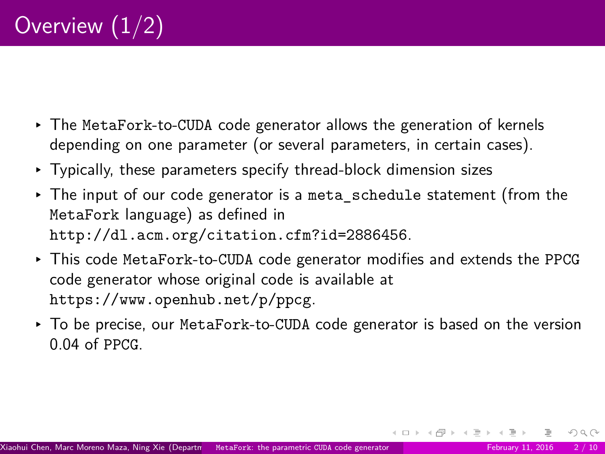- ▸ The MetaFork-to-CUDA code generator allows the generation of kernels depending on one parameter (or several parameters, in certain cases).
- ▸ Typically, these parameters specify thread-block dimension sizes
- $\triangleright$  The input of our code generator is a meta schedule statement (from the MetaFork language) as defined in <http://dl.acm.org/citation.cfm?id=2886456>.
- ▸ This code MetaFork-to-CUDA code generator modifies and extends the PPCG code generator whose original code is available at <https://www.openhub.net/p/ppcg>.
- ▸ To be precise, our MetaFork-to-CUDA code generator is based on the version 0.04 of PPCG.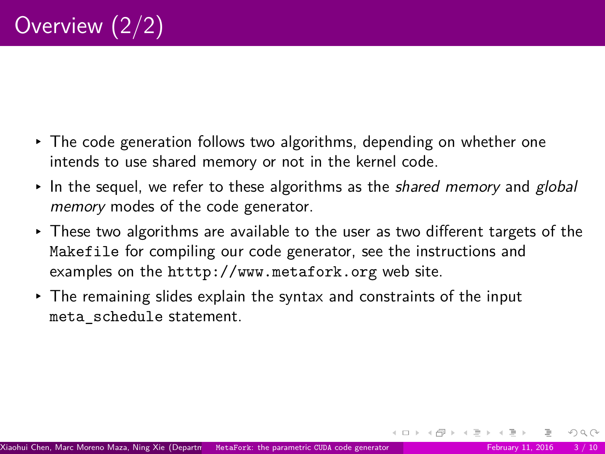- ▸ The code generation follows two algorithms, depending on whether one intends to use shared memory or not in the kernel code.
- $\cdot$  In the sequel, we refer to these algorithms as the *shared memory* and *global* memory modes of the code generator.
- ▸ These two algorithms are available to the user as two different targets of the Makefile for compiling our code generator, see the instructions and examples on the <htttp://www.metafork.org> web site.
- ▸ The remaining slides explain the syntax and constraints of the input meta\_schedule statement.

 $OQ$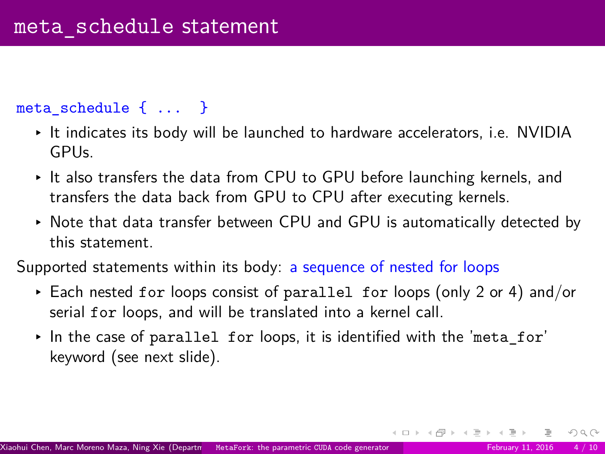#### meta schedule { ... }

- ▸ It indicates its body will be launched to hardware accelerators, i.e. NVIDIA GPUs.
- ▸ It also transfers the data from CPU to GPU before launching kernels, and transfers the data back from GPU to CPU after executing kernels.
- ▸ Note that data transfer between CPU and GPU is automatically detected by this statement.

Supported statements within its body: a sequence of nested for loops

- ▸ Each nested for loops consist of parallel for loops (only 2 or 4) and/or serial for loops, and will be translated into a kernel call.
- $\triangleright$  In the case of parallel for loops, it is identified with the 'meta\_for' keyword (see next slide).

 $OQ$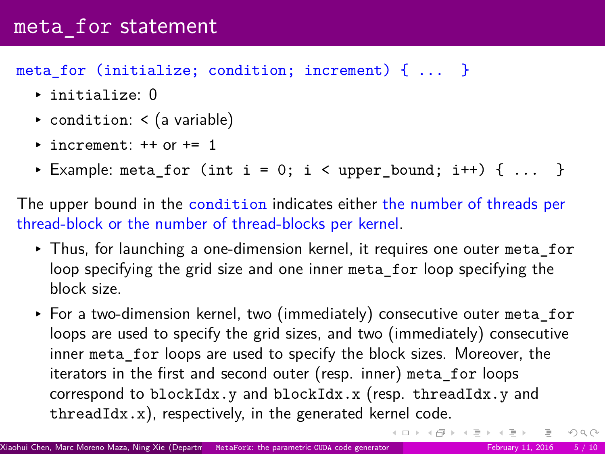## meta for statement

#### meta\_for (initialize; condition; increment) { ... }

- ▸ initialize: 0
- ▸ condition: < (a variable)
- $\rightarrow$  increment:  $++$  or  $+=$  1
- ▸ Example: meta\_for (int i = 0; i < upper\_bound; i++) { ... }

The upper bound in the condition indicates either the number of threads per thread-block or the number of thread-blocks per kernel.

- ▸ Thus, for launching a one-dimension kernel, it requires one outer meta\_for loop specifying the grid size and one inner meta for loop specifying the block size.
- ▸ For a two-dimension kernel, two (immediately) consecutive outer meta\_for loops are used to specify the grid sizes, and two (immediately) consecutive inner meta for loops are used to specify the block sizes. Moreover, the iterators in the first and second outer (resp. inner) meta\_for loops correspond to blockIdx.y and blockIdx.x (resp. threadIdx.y and threadIdx.x), respectively, in the generated kernel code.

 $OQ$ 

イロト イ部 トイミト イミトー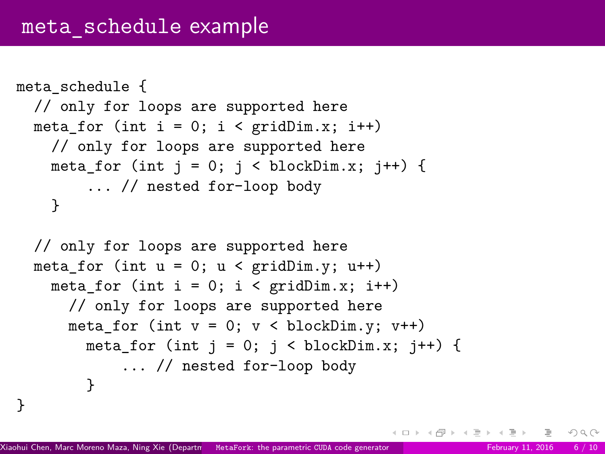```
meta_schedule {
// only for loops are supported here
meta for (int i = 0; i < gridDim.x; i++)
  // only for loops are supported here
  meta for (int j = 0; j < blockDim.x; j++) {
      ... // nested for-loop body
  }
// only for loops are supported here
meta_for (int u = 0; u < gridDim.y; u^{++})
  meta for (int i = 0; i < gridDim.x; i^{++})
    // only for loops are supported here
```

```
meta for (int v = 0; v < blockDim.v: v++)
meta_for (int j = 0; j < blockDim.x; j++) {
    ... // nested for-loop body
```

```
Xiaohui Chen, Marc Moreno Maza, Ning Xie (Department MetaFork: the parametric CUDA code generator February Science University of Western Ontario, Canada) MetaFork: the parametric CUDA code generator February 11, 2016 6 / 1
```
}

}

 $OQ$ 

イロト イ押 トイヨ トイヨト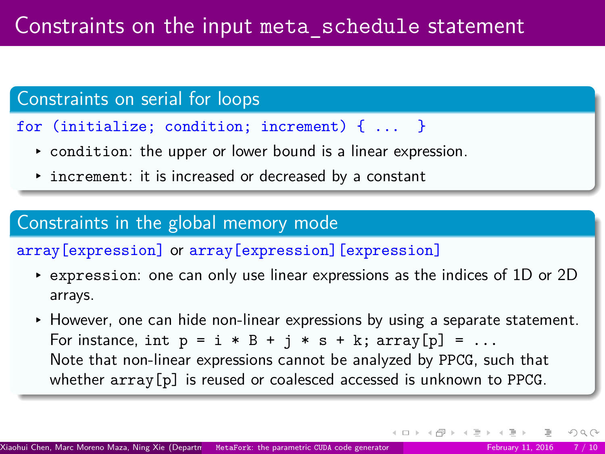## Constraints on serial for loops

- for (initialize; condition; increment) { ... }
	- ▸ condition: the upper or lower bound is a linear expression.
	- ▸ increment: it is increased or decreased by a constant

## Constraints in the global memory mode

array[expression] or array[expression][expression]

- ▸ expression: one can only use linear expressions as the indices of 1D or 2D arrays.
- ▸ However, one can hide non-linear expressions by using a separate statement. For instance, int  $p = i * B + j * s + k$ ;  $array[p] = ...$ Note that non-linear expressions cannot be analyzed by PPCG, such that whether  $array[p]$  is reused or coalesced accessed is unknown to PPCG.

 $OQ$ 

 $4$  ロ }  $4$   $\overline{m}$  }  $4$   $\overline{m}$  }  $4$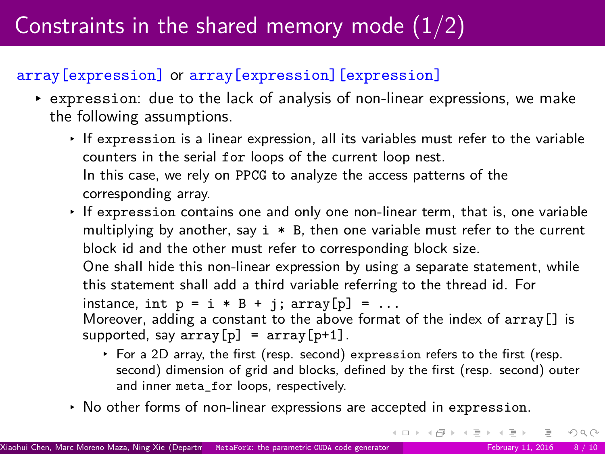# Constraints in the shared memory mode  $(1/2)$

### array[expression] or array[expression][expression]

- ▸ expression: due to the lack of analysis of non-linear expressions, we make the following assumptions.
	- ▸ If expression is a linear expression, all its variables must refer to the variable counters in the serial for loops of the current loop nest. In this case, we rely on PPCG to analyze the access patterns of the corresponding array.
	- ▸ If expression contains one and only one non-linear term, that is, one variable multiplying by another, say  $i * B$ , then one variable must refer to the current block id and the other must refer to corresponding block size.

One shall hide this non-linear expression by using a separate statement, while this statement shall add a third variable referring to the thread id. For instance, int  $p = i * B + j$ ;  $array[p] = ...$ Moreover, adding a constant to the above format of the index of  $array[]$  is supported, say  $array[p] = array[p+1]$ .

- ▸ For a 2D array, the first (resp. second) expression refers to the first (resp. second) dimension of grid and blocks, defined by the first (resp. second) outer and inner meta\_for loops, respectively.
- ▸ No other forms of non-linear expressions are accepted in expression.

 $OQ$ 

イロト イ部 トイミト イミト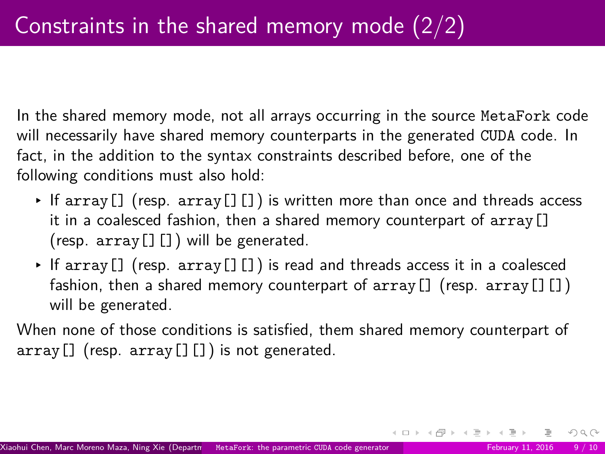In the shared memory mode, not all arrays occurring in the source MetaFork code will necessarily have shared memory counterparts in the generated CUDA code. In fact, in the addition to the syntax constraints described before, one of the following conditions must also hold:

- $\cdot$  If array [] (resp. array [][]) is written more than once and threads access it in a coalesced fashion, then a shared memory counterpart of array[] (resp.  $array[]$ ) will be generated.
- ▸ If array[] (resp. array[][]) is read and threads access it in a coalesced fashion, then a shared memory counterpart of array [] (resp. array [] []) will be generated.

When none of those conditions is satisfied, them shared memory counterpart of  $array[]$  (resp.  $array[]$ ) is not generated.